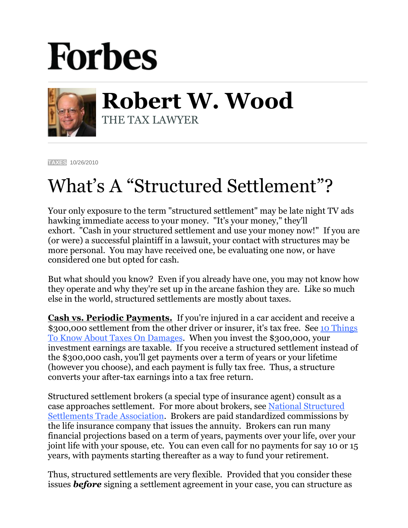## **Forbes**



**Robert W. Wood** THE TAX LAWYER

**[TAXES](https://www.forbes.com/taxes)** 10/26/2010

## What's A "Structured Settlement"?

Your only exposure to the term "structured settlement" may be late night TV ads hawking immediate access to your money. "It's your money," they'll exhort. "Cash in your structured settlement and use your money now!" If you are (or were) a successful plaintiff in a lawsuit, your contact with structures may be more personal. You may have received one, be evaluating one now, or have considered one but opted for cash.

But what should you know? Even if you already have one, you may not know how they operate and why they're set up in the arcane fashion they are. Like so much else in the world, structured settlements are mostly about taxes.

**Cash vs. Periodic Payments.** If you're injured in a car accident and receive a \$300,000 settlement from the other driver or insurer, it's tax free. See [10 Things](http://www.forbes.com/2010/04/29/tax-legal-damages-employment-injury-personal-finance-robert-wood.html)  [To Know About Taxes On Damages.](http://www.forbes.com/2010/04/29/tax-legal-damages-employment-injury-personal-finance-robert-wood.html) When you invest the \$300,000, your investment earnings are taxable. If you receive a structured settlement instead of the \$300,000 cash, you'll get payments over a term of years or your lifetime (however you choose), and each payment is fully tax free. Thus, a structure converts your after-tax earnings into a tax free return.

Structured settlement brokers (a special type of insurance agent) consult as a case approaches settlement. For more about brokers, see [National Structured](http://www.nssta.com/)  [Settlements Trade Association.](http://www.nssta.com/) Brokers are paid standardized commissions by the life insurance company that issues the annuity. Brokers can run many financial projections based on a term of years, payments over your life, over your joint life with your spouse, etc. You can even call for no payments for say 10 or 15 years, with payments starting thereafter as a way to fund your retirement.

Thus, structured settlements are very flexible. Provided that you consider these issues *before* signing a settlement agreement in your case, you can structure as